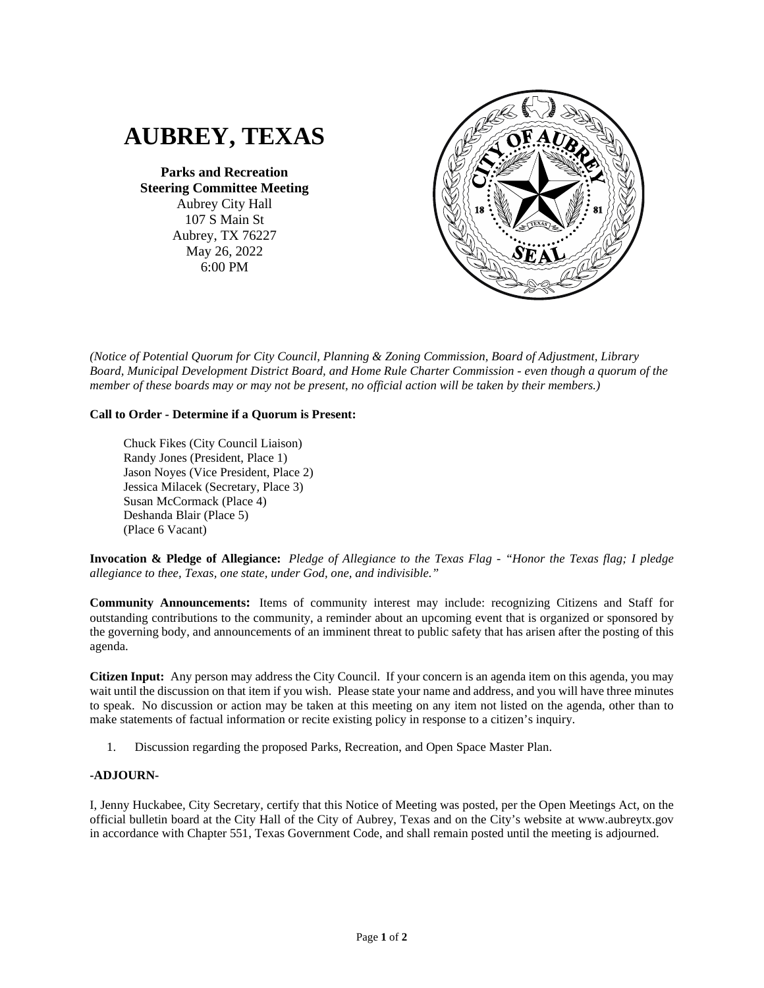

**Parks and Recreation Steering Committee Meeting** Aubrey City Hall 107 S Main St Aubrey, TX 76227 May 26, 2022 6:00 PM



*(Notice of Potential Quorum for City Council, Planning & Zoning Commission, Board of Adjustment, Library Board, Municipal Development District Board, and Home Rule Charter Commission - even though a quorum of the member of these boards may or may not be present, no official action will be taken by their members.)*

## **Call to Order - Determine if a Quorum is Present:**

Chuck Fikes (City Council Liaison) Randy Jones (President, Place 1) Jason Noyes (Vice President, Place 2) Jessica Milacek (Secretary, Place 3) Susan McCormack (Place 4) Deshanda Blair (Place 5) (Place 6 Vacant)

**Invocation & Pledge of Allegiance:** *Pledge of Allegiance to the Texas Flag - "Honor the Texas flag; I pledge allegiance to thee, Texas, one state, under God, one, and indivisible."*

**Community Announcements:** Items of community interest may include: recognizing Citizens and Staff for outstanding contributions to the community, a reminder about an upcoming event that is organized or sponsored by the governing body, and announcements of an imminent threat to public safety that has arisen after the posting of this agenda.

**Citizen Input:** Any person may address the City Council. If your concern is an agenda item on this agenda, you may wait until the discussion on that item if you wish. Please state your name and address, and you will have three minutes to speak. No discussion or action may be taken at this meeting on any item not listed on the agenda, other than to make statements of factual information or recite existing policy in response to a citizen's inquiry.

1. Discussion regarding the proposed Parks, Recreation, and Open Space Master Plan.

## **-ADJOURN-**

I, Jenny Huckabee, City Secretary, certify that this Notice of Meeting was posted, per the Open Meetings Act, on the official bulletin board at the City Hall of the City of Aubrey, Texas and on the City's website at www.aubreytx.gov in accordance with Chapter 551, Texas Government Code, and shall remain posted until the meeting is adjourned.